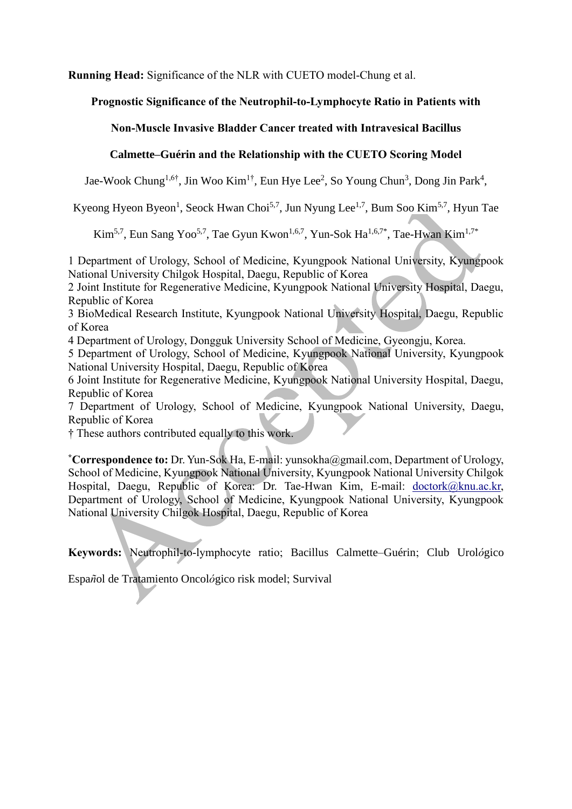**Running Head:** Significance of the NLR with CUETO model-Chung et al.

# **Prognostic Significance of the Neutrophil-to-Lymphocyte Ratio in Patients with**

# **Non-Muscle Invasive Bladder Cancer treated with Intravesical Bacillus**

# **Calmette–Guérin and the Relationship with the CUETO Scoring Model**

Jae-Wook Chung<sup>1,6†</sup>, Jin Woo Kim<sup>1†</sup>, Eun Hye Lee<sup>2</sup>, So Young Chun<sup>3</sup>, Dong Jin Park<sup>4</sup>,

Kyeong Hyeon Byeon<sup>1</sup>, Seock Hwan Choi<sup>5,7</sup>, Jun Nyung Lee<sup>1,7</sup>, Bum Soo Kim<sup>5,7</sup>, Hyun Tae

Kim<sup>5,7</sup>, Eun Sang Yoo<sup>5,7</sup>, Tae Gyun Kwon<sup>1,6,7</sup>, Yun-Sok Ha<sup>1,6,7\*</sup>, Tae-Hwan Kim<sup>1,7\*</sup>

1 Department of Urology, School of Medicine, Kyungpook National University, Kyungpook National University Chilgok Hospital, Daegu, Republic of Korea

2 Joint Institute for Regenerative Medicine, Kyungpook National University Hospital, Daegu, Republic of Korea

3 BioMedical Research Institute, Kyungpook National University Hospital, Daegu, Republic of Korea

4 Department of Urology, Dongguk University School of Medicine, Gyeongju, Korea.

5 Department of Urology, School of Medicine, Kyungpook National University, Kyungpook National University Hospital, Daegu, Republic of Korea

6 Joint Institute for Regenerative Medicine, Kyungpook National University Hospital, Daegu, Republic of Korea

7 Department of Urology, School of Medicine, Kyungpook National University, Daegu, Republic of Korea

† These authors contributed equally to this work.

**\*Correspondence to:** Dr. Yun-Sok Ha, E-mail: yunsokha@gmail.com, Department of Urology, School of Medicine, Kyungpook National University, Kyungpook National University Chilgok Hospital, Daegu, Republic of Korea: Dr. Tae-Hwan Kim, E-mail: [doctork@knu.ac.kr,](mailto:doctork@knu.ac.kr) Department of Urology, School of Medicine, Kyungpook National University, Kyungpook National University Chilgok Hospital, Daegu, Republic of Korea

**Keywords:** Neutrophil-to-lymphocyte ratio; Bacillus Calmette–Guérin; Club Urol*ó*gico

Espa*ñ*ol de Tratamiento Oncol*ó*gico risk model; Survival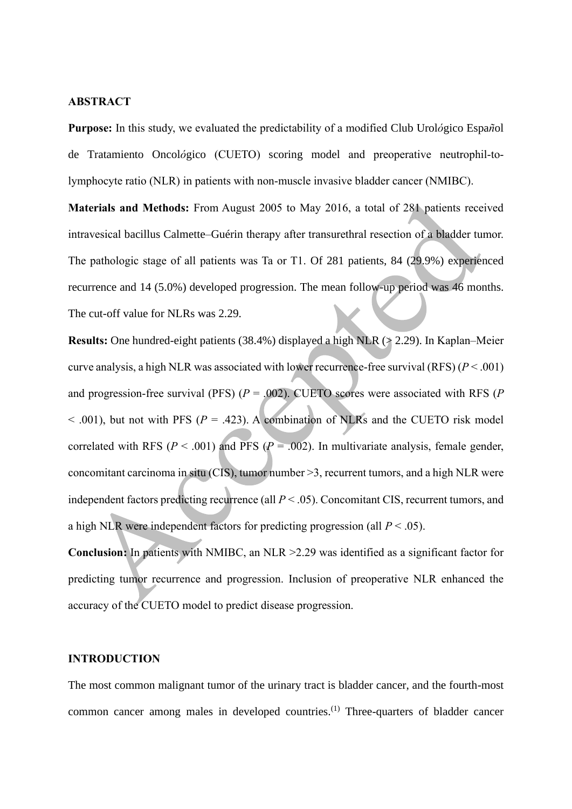## **ABSTRACT**

**Purpose:** In this study, we evaluated the predictability of a modified Club Urol*ó*gico Espa*ñ*ol de Tratamiento Oncol*ó*gico (CUETO) scoring model and preoperative neutrophil-tolymphocyte ratio (NLR) in patients with non-muscle invasive bladder cancer (NMIBC).

**Materials and Methods:** From August 2005 to May 2016, a total of 281 patients received intravesical bacillus Calmette–Guérin therapy after transurethral resection of a bladder tumor. The pathologic stage of all patients was Ta or T1. Of 281 patients, 84 (29.9%) experienced recurrence and 14 (5.0%) developed progression. The mean follow-up period was 46 months. The cut-off value for NLRs was 2.29.

**Results:** One hundred-eight patients (38.4%) displayed a high NLR ( $\ge$  2.29). In Kaplan–Meier curve analysis, a high NLR was associated with lower recurrence-free survival (RFS) (*P* < .001) and progression-free survival (PFS) (*P* = .002). CUETO scores were associated with RFS (*P*  $<$  0.01), but not with PFS ( $P = .423$ ). A combination of NLRs and the CUETO risk model correlated with RFS ( $P < .001$ ) and PFS ( $P = .002$ ). In multivariate analysis, female gender, concomitant carcinoma in situ (CIS), tumor number >3, recurrent tumors, and a high NLR were independent factors predicting recurrence (all *P* < .05). Concomitant CIS, recurrent tumors, and a high NLR were independent factors for predicting progression (all  $P < .05$ ).

**Conclusion:** In patients with NMIBC, an NLR >2.29 was identified as a significant factor for predicting tumor recurrence and progression. Inclusion of preoperative NLR enhanced the accuracy of the CUETO model to predict disease progression.

#### **INTRODUCTION**

The most common malignant tumor of the urinary tract is bladder cancer, and the fourth-most common cancer among males in developed countries.<sup>(1)</sup> Three-quarters of bladder cancer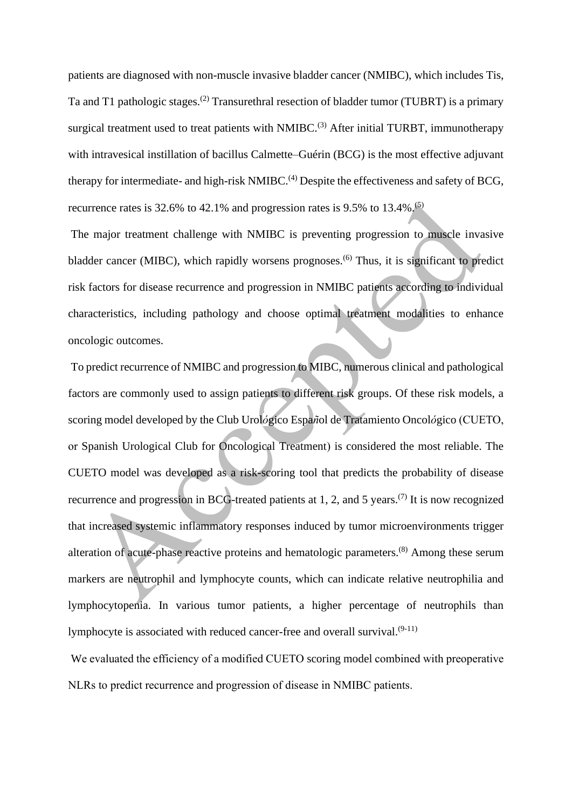patients are diagnosed with non-muscle invasive bladder cancer (NMIBC), which includes Tis, Ta and T1 pathologic stages.<sup>(2)</sup> Transurethral resection of bladder tumor (TUBRT) is a primary surgical treatment used to treat patients with NMIBC.<sup>(3)</sup> After initial TURBT, immunotherapy with intravesical instillation of bacillus Calmette–Guérin (BCG) is the most effective adjuvant therapy for intermediate- and high-risk NMIBC.<sup>(4)</sup> Despite the effectiveness and safety of BCG, recurrence rates is 32.6% to 42.1% and progression rates is 9.5% to 13.4%.<sup>(5)</sup>

The major treatment challenge with NMIBC is preventing progression to muscle invasive bladder cancer (MIBC), which rapidly worsens prognoses.<sup>(6)</sup> Thus, it is significant to predict risk factors for disease recurrence and progression in NMIBC patients according to individual characteristics, including pathology and choose optimal treatment modalities to enhance oncologic outcomes.

To predict recurrence of NMIBC and progression to MIBC, numerous clinical and pathological factors are commonly used to assign patients to different risk groups. Of these risk models, a scoring model developed by the Club Urol*ó*gico Espa*ñ*ol de Tratamiento Oncol*ó*gico (CUETO, or Spanish Urological Club for Oncological Treatment) is considered the most reliable. The CUETO model was developed as a risk-scoring tool that predicts the probability of disease recurrence and progression in BCG-treated patients at 1, 2, and 5 years.<sup>(7)</sup> It is now recognized that increased systemic inflammatory responses induced by tumor microenvironments trigger alteration of acute-phase reactive proteins and hematologic parameters.<sup>(8)</sup> Among these serum markers are neutrophil and lymphocyte counts, which can indicate relative neutrophilia and lymphocytopenia. In various tumor patients, a higher percentage of neutrophils than lymphocyte is associated with reduced cancer-free and overall survival. $(9-11)$ 

We evaluated the efficiency of a modified CUETO scoring model combined with preoperative NLRs to predict recurrence and progression of disease in NMIBC patients.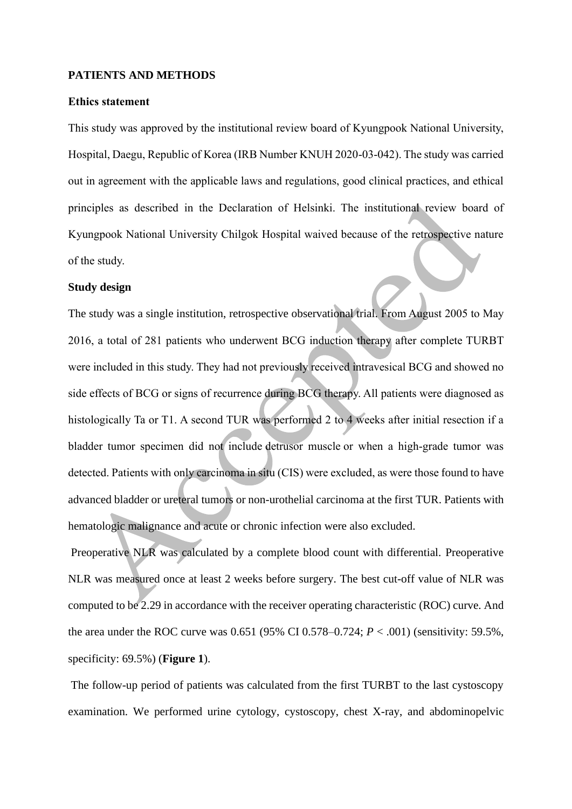#### **PATIENTS AND METHODS**

## **Ethics statement**

This study was approved by the institutional review board of Kyungpook National University, Hospital, Daegu, Republic of Korea (IRB Number KNUH 2020-03-042). The study was carried out in agreement with the applicable laws and regulations, good clinical practices, and ethical principles as described in the Declaration of Helsinki. The institutional review board of Kyungpook National University Chilgok Hospital waived because of the retrospective nature of the study.

#### **Study design**

The study was a single institution, retrospective observational trial. From August 2005 to May 2016, a total of 281 patients who underwent BCG induction therapy after complete TURBT were included in this study. They had not previously received intravesical BCG and showed no side effects of BCG or signs of recurrence during BCG therapy. All patients were diagnosed as histologically Ta or T1. A second TUR was performed 2 to 4 weeks after initial resection if a bladder tumor specimen did not include [detrusor muscle](https://www.sciencedirect.com/topics/medicine-and-dentistry/detrusor-muscle) or when a high-grade tumor was detected. Patients with only carcinoma in situ (CIS) were excluded, as were those found to have advanced bladder or ureteral tumors or non-urothelial carcinoma at the first TUR. Patients with hematologic malignance and acute or chronic infection were also excluded.

Preoperative NLR was calculated by a complete blood count with differential. Preoperative NLR was measured once at least 2 weeks before surgery. The best cut-off value of NLR was computed to be 2.29 in accordance with the receiver operating characteristic (ROC) curve. And the area under the ROC curve was 0.651 (95% CI 0.578–0.724;  $P < .001$ ) (sensitivity: 59.5%, specificity: 69.5%) (**Figure 1**).

The follow-up period of patients was calculated from the first TURBT to the last cystoscopy examination. We performed urine cytology, cystoscopy, chest X-ray, and abdominopelvic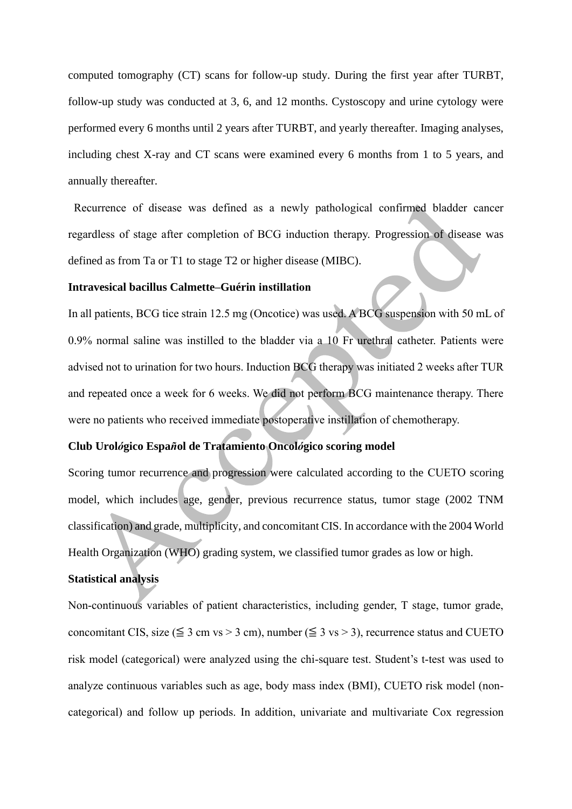computed tomography (CT) scans for follow-up study. During the first year after TURBT, follow-up study was conducted at 3, 6, and 12 months. Cystoscopy and urine cytology were performed every 6 months until 2 years after TURBT, and yearly thereafter. Imaging analyses, including chest X-ray and CT scans were examined every 6 months from 1 to 5 years, and annually thereafter.

Recurrence of disease was defined as a newly pathological confirmed bladder cancer regardless of stage after completion of BCG induction therapy. Progression of disease was defined as from Ta or T1 to stage T2 or higher disease (MIBC).

#### **Intravesical bacillus Calmette–Guérin instillation**

In all patients, BCG tice strain 12.5 mg (Oncotice) was used. A BCG suspension with 50 mL of 0.9% normal saline was instilled to the bladder via a 10 Fr urethral catheter. Patients were advised not to urination for two hours. Induction BCG therapy was initiated 2 weeks after TUR and repeated once a week for 6 weeks. We did not perform BCG maintenance therapy. There were no patients who received immediate postoperative instillation of chemotherapy.

## **Club Urol***ó***gico Espa***ñ***ol de Tratamiento Oncol***ó***gico scoring model**

Scoring tumor recurrence and progression were calculated according to the CUETO scoring model, which includes age, gender, previous recurrence status, tumor stage (2002 TNM classification) and grade, multiplicity, and concomitant CIS. In accordance with the 2004 World Health Organization (WHO) grading system, we classified tumor grades as low or high.

### **Statistical analysis**

Non-continuous variables of patient characteristics, including gender, T stage, tumor grade, concomitant CIS, size ( $\leq 3$  cm vs > 3 cm), number ( $\leq 3$  vs > 3), recurrence status and CUETO risk model (categorical) were analyzed using the chi-square test. Student's t-test was used to analyze continuous variables such as age, body mass index (BMI), CUETO risk model (noncategorical) and follow up periods. In addition, univariate and multivariate Cox regression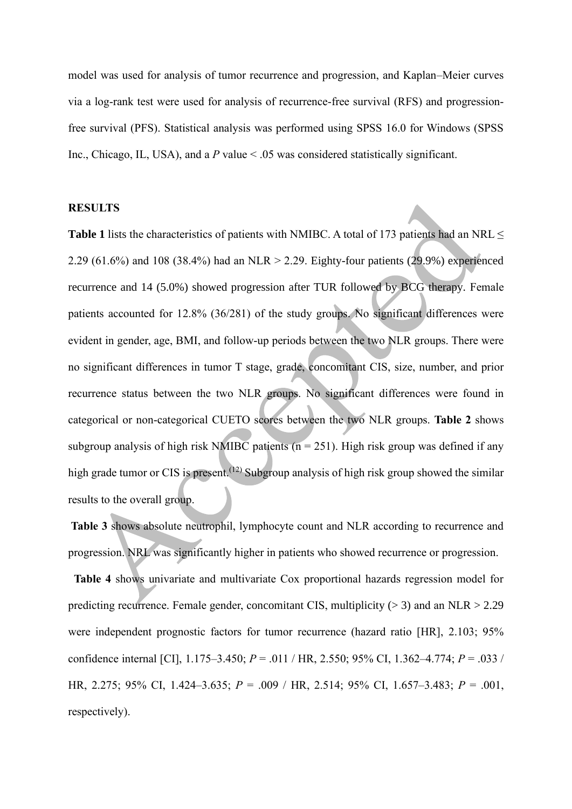model was used for analysis of tumor recurrence and progression, and Kaplan–Meier curves via a log-rank test were used for analysis of recurrence-free survival (RFS) and progressionfree survival (PFS). Statistical analysis was performed using SPSS 16.0 for Windows (SPSS Inc., Chicago, IL, USA), and a *P* value < .05 was considered statistically significant.

#### **RESULTS**

**Table 1** lists the characteristics of patients with NMIBC. A total of 173 patients had an NRL ≤ 2.29 (61.6%) and 108 (38.4%) had an NLR > 2.29. Eighty-four patients (29.9%) experienced recurrence and 14 (5.0%) showed progression after TUR followed by BCG therapy. Female patients accounted for 12.8% (36/281) of the study groups. No significant differences were evident in gender, age, BMI, and follow-up periods between the two NLR groups. There were no significant differences in tumor T stage, grade, concomitant CIS, size, number, and prior recurrence status between the two NLR groups. No significant differences were found in categorical or non-categorical CUETO scores between the two NLR groups. **Table 2** shows subgroup analysis of high risk NMIBC patients ( $n = 251$ ). High risk group was defined if any high grade tumor or CIS is present.<sup>(12)</sup> Subgroup analysis of high risk group showed the similar results to the overall group.

**Table 3** shows absolute neutrophil, lymphocyte count and NLR according to recurrence and progression. NRL was significantly higher in patients who showed recurrence or progression.

**Table 4** shows univariate and multivariate Cox proportional hazards regression model for predicting recurrence. Female gender, concomitant CIS, multiplicity  $(> 3)$  and an NLR  $> 2.29$ were independent prognostic factors for tumor recurrence (hazard ratio [HR], 2.103; 95% confidence internal [CI], 1.175–3.450; *P* = .011 / HR, 2.550; 95% CI, 1.362–4.774; *P* = .033 / HR, 2.275; 95% CI, 1.424–3.635; *P* = .009 / HR, 2.514; 95% CI, 1.657–3.483; *P* = .001, respectively).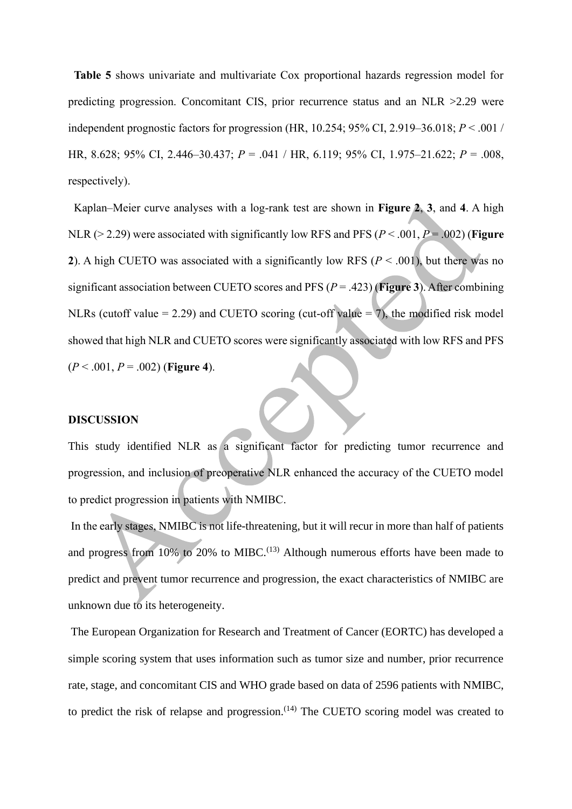**Table 5** shows univariate and multivariate Cox proportional hazards regression model for predicting progression. Concomitant CIS, prior recurrence status and an NLR >2.29 were independent prognostic factors for progression (HR, 10.254; 95% CI, 2.919–36.018; *P* < .001 / HR, 8.628; 95% CI, 2.446–30.437; *P* = .041 / HR, 6.119; 95% CI, 1.975–21.622; *P* = .008, respectively).

Kaplan–Meier curve analyses with a log-rank test are shown in **Figure 2**, **3**, and **4**. A high NLR (> 2.29) were associated with significantly low RFS and PFS (*P* < .001, *P* = .002) (**Figure 2**). A high CUETO was associated with a significantly low RFS ( $P < .001$ ), but there was no significant association between CUETO scores and PFS (*P* = .423) (**Figure 3**). After combining NLRs (cutoff value = 2.29) and CUETO scoring (cut-off value = 7), the modified risk model showed that high NLR and CUETO scores were significantly associated with low RFS and PFS  $(P < .001, P = .002)$  (Figure 4).

#### **DISCUSSION**

This study identified NLR as a significant factor for predicting tumor recurrence and progression, and inclusion of preoperative NLR enhanced the accuracy of the CUETO model to predict progression in patients with NMIBC.

In the early stages, NMIBC is not life-threatening, but it will recur in more than half of patients and progress from 10% to 20% to MIBC.<sup> $(13)$ </sup> Although numerous efforts have been made to predict and prevent tumor recurrence and progression, the exact characteristics of NMIBC are unknown due to its heterogeneity.

The European Organization for Research and Treatment of Cancer (EORTC) has developed a simple scoring system that uses information such as tumor size and number, prior recurrence rate, stage, and concomitant CIS and WHO grade based on data of 2596 patients with NMIBC, to predict the risk of relapse and progression.<sup> $(14)$ </sup> The CUETO scoring model was created to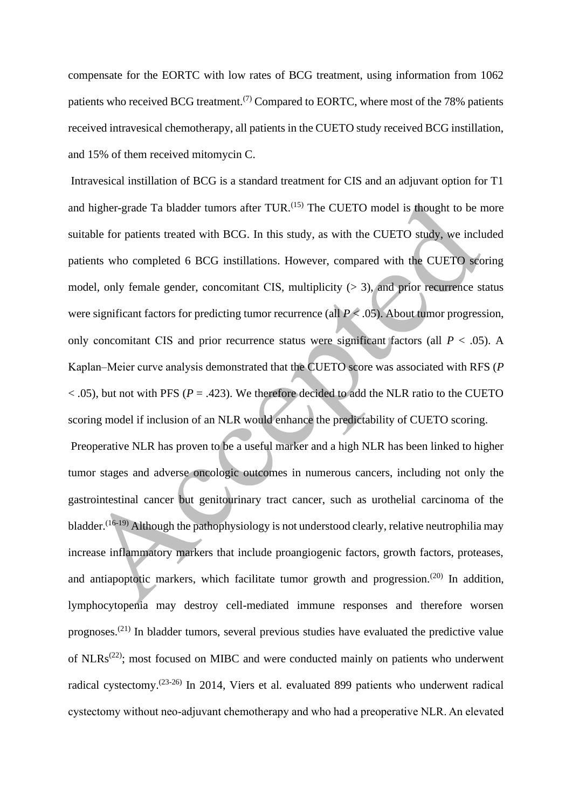compensate for the EORTC with low rates of BCG treatment, using information from 1062 patients who received BCG treatment.<sup> $(7)$ </sup> Compared to EORTC, where most of the 78% patients received intravesical chemotherapy, all patients in the CUETO study received BCG instillation, and 15% of them received mitomycin C.

Intravesical instillation of BCG is a standard treatment for CIS and an adjuvant option for T1 and higher-grade Ta bladder tumors after TUR.<sup>(15)</sup> The CUETO model is thought to be more suitable for patients treated with BCG. In this study, as with the CUETO study, we included patients who completed 6 BCG instillations. However, compared with the CUETO scoring model, only female gender, concomitant CIS, multiplicity  $(> 3)$ , and prior recurrence status were significant factors for predicting tumor recurrence (all  $P \le 0.05$ ). About tumor progression, only concomitant CIS and prior recurrence status were significant factors (all  $P < .05$ ). A Kaplan–Meier curve analysis demonstrated that the CUETO score was associated with RFS (*P*  $<$  0.05), but not with PFS ( $P = 0.423$ ). We therefore decided to add the NLR ratio to the CUETO scoring model if inclusion of an NLR would enhance the predictability of CUETO scoring.

Preoperative NLR has proven to be a useful marker and a high NLR has been linked to higher tumor stages and adverse oncologic outcomes in numerous cancers, including not only the gastrointestinal cancer but genitourinary tract cancer, such as urothelial carcinoma of the bladder.<sup>(16-19)</sup> Although the pathophysiology is not understood clearly, relative neutrophilia may increase inflammatory markers that include proangiogenic factors, growth factors, proteases, and antiapoptotic markers, which facilitate tumor growth and progression.<sup> $(20)$ </sup> In addition, lymphocytopenia may destroy cell-mediated immune responses and therefore worsen prognoses.(21) In bladder tumors, several previous studies have evaluated the predictive value of NLRs<sup> $(22)$ </sup>; most focused on MIBC and were conducted mainly on patients who underwent radical cystectomy.(23-26) In 2014, Viers et al. evaluated 899 patients who underwent radical cystectomy without neo-adjuvant chemotherapy and who had a preoperative NLR. An elevated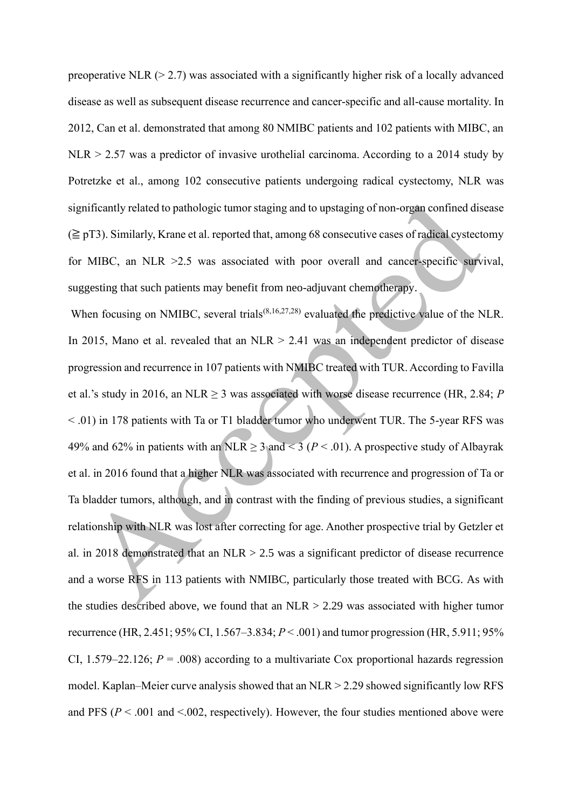preoperative NLR  $(> 2.7)$  was associated with a significantly higher risk of a locally advanced disease as well as subsequent disease recurrence and cancer-specific and all-cause mortality. In 2012, Can et al. demonstrated that among 80 NMIBC patients and 102 patients with MIBC, an  $NLR$  > 2.57 was a predictor of invasive urothelial carcinoma. According to a 2014 study by Potretzke et al., among 102 consecutive patients undergoing radical cystectomy, NLR was significantly related to pathologic tumor staging and to upstaging of non-organ confined disease  $(\geq pT3)$ . Similarly, Krane et al. reported that, among 68 consecutive cases of radical cystectomy for MIBC, an NLR > 2.5 was associated with poor overall and cancer-specific survival, suggesting that such patients may benefit from neo-adjuvant chemotherapy.

When focusing on NMIBC, several trials<sup>(8,16,27,28)</sup> evaluated the predictive value of the NLR. In 2015, Mano et al. revealed that an  $NLR > 2.41$  was an independent predictor of disease progression and recurrence in 107 patients with NMIBC treated with TUR. According to Favilla et al.'s study in 2016, an NLR  $\geq$  3 was associated with worse disease recurrence (HR, 2.84; *P* < .01) in 178 patients with Ta or T1 bladder tumor who underwent TUR. The 5-year RFS was 49% and 62% in patients with an NLR  $\geq$  3 and  $\leq$  3 (*P*  $\leq$  .01). A prospective study of Albayrak et al. in 2016 found that a higher NLR was associated with recurrence and progression of Ta or Ta bladder tumors, although, and in contrast with the finding of previous studies, a significant relationship with NLR was lost after correcting for age. Another prospective trial by Getzler et al. in 2018 demonstrated that an NLR  $> 2.5$  was a significant predictor of disease recurrence and a worse RFS in 113 patients with NMIBC, particularly those treated with BCG. As with the studies described above, we found that an  $NLR > 2.29$  was associated with higher tumor recurrence (HR, 2.451; 95% CI, 1.567–3.834; *P* < .001) and tumor progression (HR, 5.911; 95% CI, 1.579–22.126;  $P = .008$ ) according to a multivariate Cox proportional hazards regression model. Kaplan–Meier curve analysis showed that an NLR > 2.29 showed significantly low RFS and PFS ( $P < .001$  and  $< .002$ , respectively). However, the four studies mentioned above were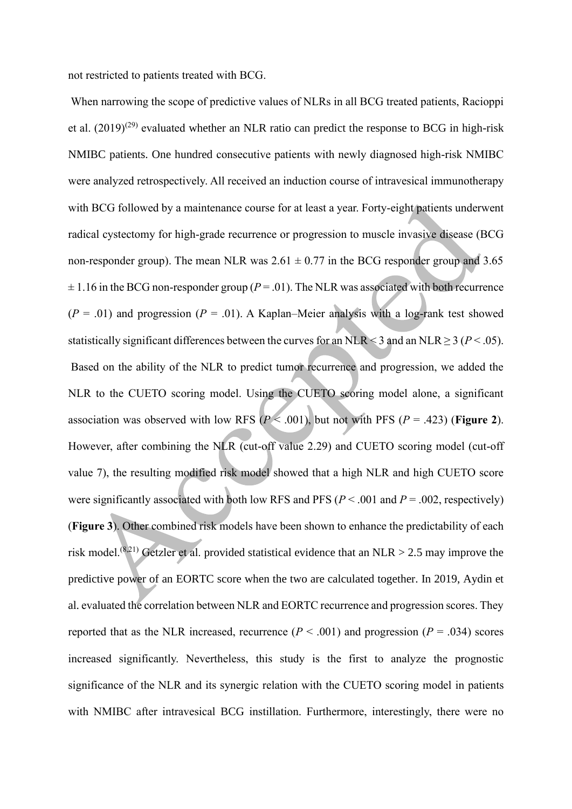not restricted to patients treated with BCG.

When narrowing the scope of predictive values of NLRs in all BCG treated patients, Racioppi et al.  $(2019)^{(29)}$  evaluated whether an NLR ratio can predict the response to BCG in high-risk NMIBC patients. One hundred consecutive patients with newly diagnosed high-risk NMIBC were analyzed retrospectively. All received an induction course of intravesical immunotherapy with BCG followed by a maintenance course for at least a year. Forty-eight patients underwent radical cystectomy for high-grade recurrence or progression to muscle invasive disease (BCG non-responder group). The mean NLR was  $2.61 \pm 0.77$  in the BCG responder group and 3.65  $\pm$  1.16 in the BCG non-responder group ( $P = .01$ ). The NLR was associated with both recurrence  $(P = .01)$  and progression  $(P = .01)$ . A Kaplan–Meier analysis with a log-rank test showed statistically significant differences between the curves for an NLR < 3 and an NLR  $\geq$  3 ( $P$  < .05). Based on the ability of the NLR to predict tumor recurrence and progression, we added the NLR to the CUETO scoring model. Using the CUETO scoring model alone, a significant association was observed with low RFS  $(P < .001)$ , but not with PFS  $(P = .423)$  (**Figure 2**). However, after combining the NLR (cut-off value 2.29) and CUETO scoring model (cut-off value 7), the resulting modified risk model showed that a high NLR and high CUETO score were significantly associated with both low RFS and PFS (*P* < .001 and *P* = .002, respectively) (**Figure 3**). Other combined risk models have been shown to enhance the predictability of each risk model.<sup>(8,21)</sup> Getzler et al. provided statistical evidence that an NLR  $>$  2.5 may improve the predictive power of an EORTC score when the two are calculated together. In 2019, Aydin et al. evaluated the correlation between NLR and EORTC recurrence and progression scores. They reported that as the NLR increased, recurrence  $(P < .001)$  and progression  $(P = .034)$  scores increased significantly. Nevertheless, this study is the first to analyze the prognostic significance of the NLR and its synergic relation with the CUETO scoring model in patients with NMIBC after intravesical BCG instillation. Furthermore, interestingly, there were no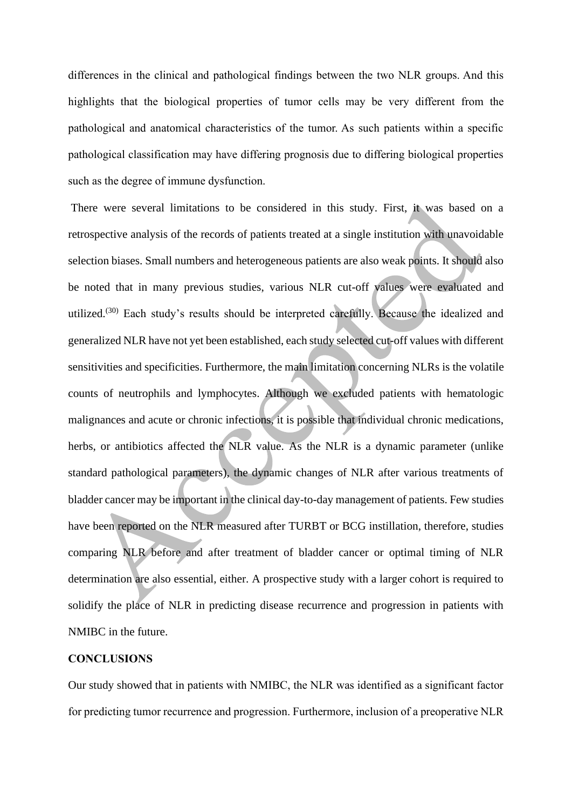differences in the clinical and pathological findings between the two NLR groups. And this highlights that the biological properties of tumor cells may be very different from the pathological and anatomical characteristics of the tumor. As such patients within a specific pathological classification may have differing prognosis due to differing biological properties such as the degree of immune dysfunction.

There were several limitations to be considered in this study. First, it was based on a retrospective analysis of the records of patients treated at a single institution with unavoidable selection biases. Small numbers and heterogeneous patients are also weak points. It should also be noted that in many previous studies, various NLR cut-off values were evaluated and utilized.<sup>(30)</sup> Each study's results should be interpreted carefully. Because the idealized and generalized NLR have not yet been established, each study selected cut-off values with different sensitivities and specificities. Furthermore, the main limitation concerning NLRs is the volatile counts of neutrophils and lymphocytes. Although we excluded patients with hematologic malignances and acute or chronic infections, it is possible that individual chronic medications, herbs, or antibiotics affected the NLR value. As the NLR is a dynamic parameter (unlike standard pathological parameters), the dynamic changes of NLR after various treatments of bladder cancer may be important in the clinical day-to-day management of patients. Few studies have been reported on the NLR measured after TURBT or BCG instillation, therefore, studies comparing NLR before and after treatment of bladder cancer or optimal timing of NLR determination are also essential, either. A prospective study with a larger cohort is required to solidify the place of NLR in predicting disease recurrence and progression in patients with NMIBC in the future.

### **CONCLUSIONS**

Our study showed that in patients with NMIBC, the NLR was identified as a significant factor for predicting tumor recurrence and progression. Furthermore, inclusion of a preoperative NLR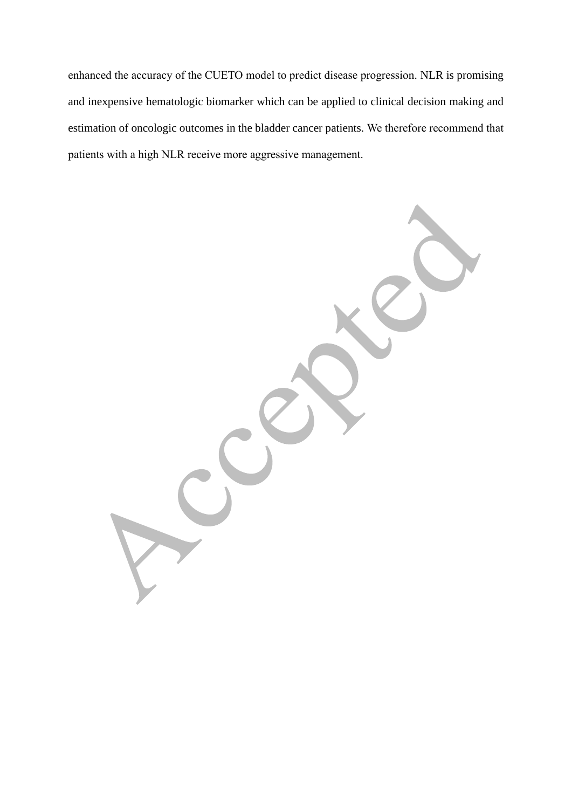enhanced the accuracy of the CUETO model to predict disease progression. NLR is promising and inexpensive hematologic biomarker which can be applied to clinical decision making and estimation of oncologic outcomes in the bladder cancer patients. We therefore recommend that patients with a high NLR receive more aggressive management.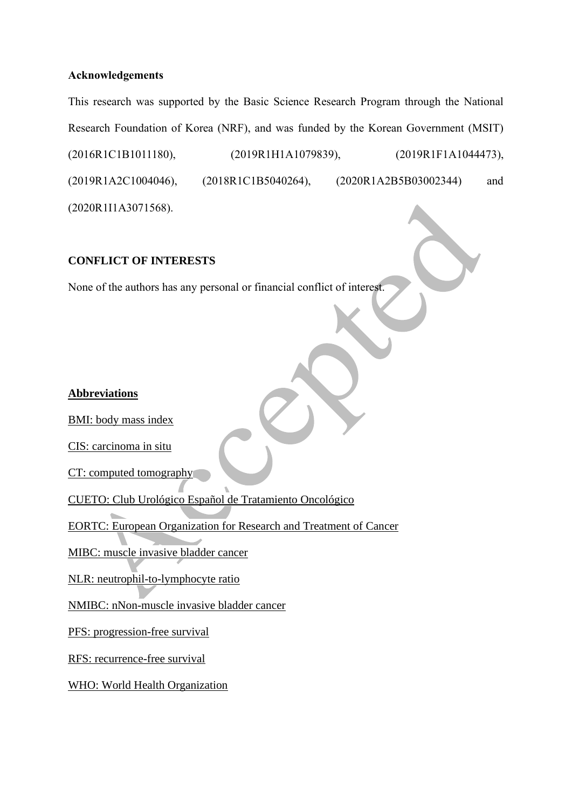## **Acknowledgements**

This research was supported by the Basic Science Research Program through the National Research Foundation of Korea (NRF), and was funded by the Korean Government (MSIT) (2016R1C1B1011180), (2019R1H1A1079839), (2019R1F1A1044473), (2019R1A2C1004046), (2018R1C1B5040264), (2020R1A2B5B03002344) and (2020R1I1A3071568).

### **CONFLICT OF INTERESTS**

None of the authors has any personal or financial conflict of interest.

## **Abbreviations**

BMI: body mass index

CIS: carcinoma in situ

CT: computed tomography

CUETO: Club Urológico Español de Tratamiento Oncológico

EORTC: European Organization for Research and Treatment of Cancer

MIBC: muscle invasive bladder cancer

NLR: neutrophil-to-lymphocyte ratio

NMIBC: nNon-muscle invasive bladder cancer

PFS: progression-free survival

RFS: recurrence-free survival

WHO: World Health Organization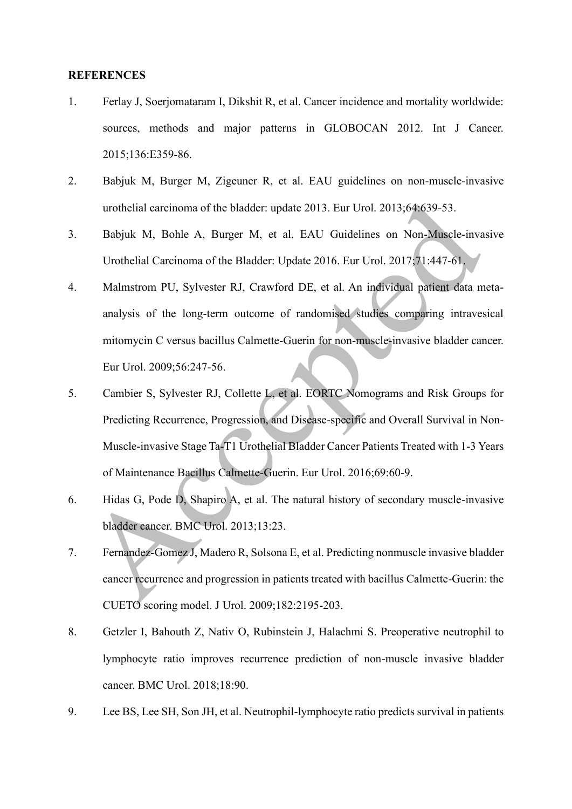#### **REFERENCES**

- 1. Ferlay J, Soerjomataram I, Dikshit R, et al. Cancer incidence and mortality worldwide: sources, methods and major patterns in GLOBOCAN 2012. Int J Cancer. 2015;136:E359-86.
- 2. Babjuk M, Burger M, Zigeuner R, et al. EAU guidelines on non-muscle-invasive urothelial carcinoma of the bladder: update 2013. Eur Urol. 2013;64:639-53.
- 3. Babjuk M, Bohle A, Burger M, et al. EAU Guidelines on Non-Muscle-invasive Urothelial Carcinoma of the Bladder: Update 2016. Eur Urol. 2017;71:447-61.
- 4. Malmstrom PU, Sylvester RJ, Crawford DE, et al. An individual patient data metaanalysis of the long-term outcome of randomised studies comparing intravesical mitomycin C versus bacillus Calmette-Guerin for non-muscle-invasive bladder cancer. Eur Urol. 2009;56:247-56.
- 5. Cambier S, Sylvester RJ, Collette L, et al. EORTC Nomograms and Risk Groups for Predicting Recurrence, Progression, and Disease-specific and Overall Survival in Non-Muscle-invasive Stage Ta-T1 Urothelial Bladder Cancer Patients Treated with 1-3 Years of Maintenance Bacillus Calmette-Guerin. Eur Urol. 2016;69:60-9.
- 6. Hidas G, Pode D, Shapiro A, et al. The natural history of secondary muscle-invasive bladder cancer. BMC Urol. 2013;13:23.
- 7. Fernandez-Gomez J, Madero R, Solsona E, et al. Predicting nonmuscle invasive bladder cancer recurrence and progression in patients treated with bacillus Calmette-Guerin: the CUETO scoring model. J Urol. 2009;182:2195-203.
- 8. Getzler I, Bahouth Z, Nativ O, Rubinstein J, Halachmi S. Preoperative neutrophil to lymphocyte ratio improves recurrence prediction of non-muscle invasive bladder cancer. BMC Urol. 2018;18:90.
- 9. Lee BS, Lee SH, Son JH, et al. Neutrophil-lymphocyte ratio predicts survival in patients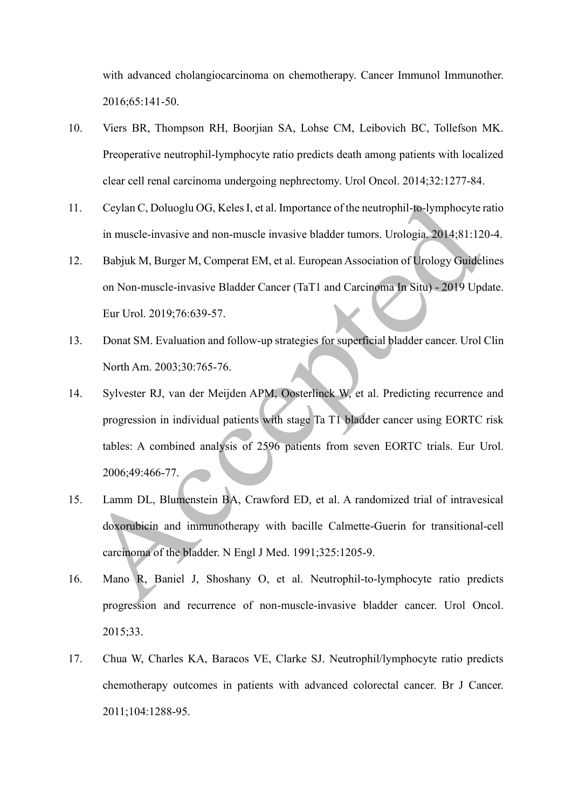with advanced cholangiocarcinoma on chemotherapy. Cancer Immunol Immunother. 2016;65:141-50.

- 10. Viers BR, Thompson RH, Boorjian SA, Lohse CM, Leibovich BC, Tollefson MK. Preoperative neutrophil-lymphocyte ratio predicts death among patients with localized clear cell renal carcinoma undergoing nephrectomy. Urol Oncol. 2014;32:1277-84.
- 11. Ceylan C, Doluoglu OG, Keles I, et al. Importance of the neutrophil-to-lymphocyte ratio in muscle-invasive and non-muscle invasive bladder tumors. Urologia. 2014;81:120-4.
- 12. Babjuk M, Burger M, Comperat EM, et al. European Association of Urology Guidelines on Non-muscle-invasive Bladder Cancer (TaT1 and Carcinoma In Situ) - 2019 Update. Eur Urol. 2019;76:639-57.
- 13. Donat SM. Evaluation and follow-up strategies for superficial bladder cancer. Urol Clin North Am. 2003;30:765-76.
- 14. Sylvester RJ, van der Meijden APM, Oosterlinck W, et al. Predicting recurrence and progression in individual patients with stage Ta T1 bladder cancer using EORTC risk tables: A combined analysis of 2596 patients from seven EORTC trials. Eur Urol. 2006;49:466-77.
- 15. Lamm DL, Blumenstein BA, Crawford ED, et al. A randomized trial of intravesical doxorubicin and immunotherapy with bacille Calmette-Guerin for transitional-cell carcinoma of the bladder. N Engl J Med. 1991;325:1205-9.
- 16. Mano R, Baniel J, Shoshany O, et al. Neutrophil-to-lymphocyte ratio predicts progression and recurrence of non-muscle-invasive bladder cancer. Urol Oncol. 2015;33.
- 17. Chua W, Charles KA, Baracos VE, Clarke SJ. Neutrophil/lymphocyte ratio predicts chemotherapy outcomes in patients with advanced colorectal cancer. Br J Cancer. 2011;104:1288-95.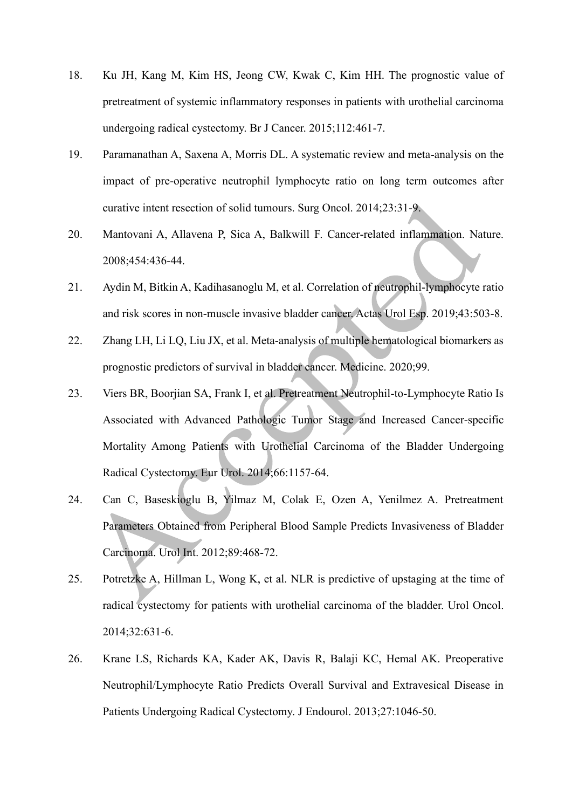- 18. Ku JH, Kang M, Kim HS, Jeong CW, Kwak C, Kim HH. The prognostic value of pretreatment of systemic inflammatory responses in patients with urothelial carcinoma undergoing radical cystectomy. Br J Cancer. 2015;112:461-7.
- 19. Paramanathan A, Saxena A, Morris DL. A systematic review and meta-analysis on the impact of pre-operative neutrophil lymphocyte ratio on long term outcomes after curative intent resection of solid tumours. Surg Oncol. 2014;23:31-9.
- 20. Mantovani A, Allavena P, Sica A, Balkwill F. Cancer-related inflammation. Nature. 2008;454:436-44.
- 21. Aydin M, Bitkin A, Kadihasanoglu M, et al. Correlation of neutrophil-lymphocyte ratio and risk scores in non-muscle invasive bladder cancer. Actas Urol Esp. 2019;43:503-8.
- 22. Zhang LH, Li LQ, Liu JX, et al. Meta-analysis of multiple hematological biomarkers as prognostic predictors of survival in bladder cancer. Medicine. 2020;99.
- 23. Viers BR, Boorjian SA, Frank I, et al. Pretreatment Neutrophil-to-Lymphocyte Ratio Is Associated with Advanced Pathologic Tumor Stage and Increased Cancer-specific Mortality Among Patients with Urothelial Carcinoma of the Bladder Undergoing Radical Cystectomy. Eur Urol. 2014;66:1157-64.
- 24. Can C, Baseskioglu B, Yilmaz M, Colak E, Ozen A, Yenilmez A. Pretreatment Parameters Obtained from Peripheral Blood Sample Predicts Invasiveness of Bladder Carcinoma. Urol Int. 2012;89:468-72.
- 25. Potretzke A, Hillman L, Wong K, et al. NLR is predictive of upstaging at the time of radical cystectomy for patients with urothelial carcinoma of the bladder. Urol Oncol. 2014;32:631-6.
- 26. Krane LS, Richards KA, Kader AK, Davis R, Balaji KC, Hemal AK. Preoperative Neutrophil/Lymphocyte Ratio Predicts Overall Survival and Extravesical Disease in Patients Undergoing Radical Cystectomy. J Endourol. 2013;27:1046-50.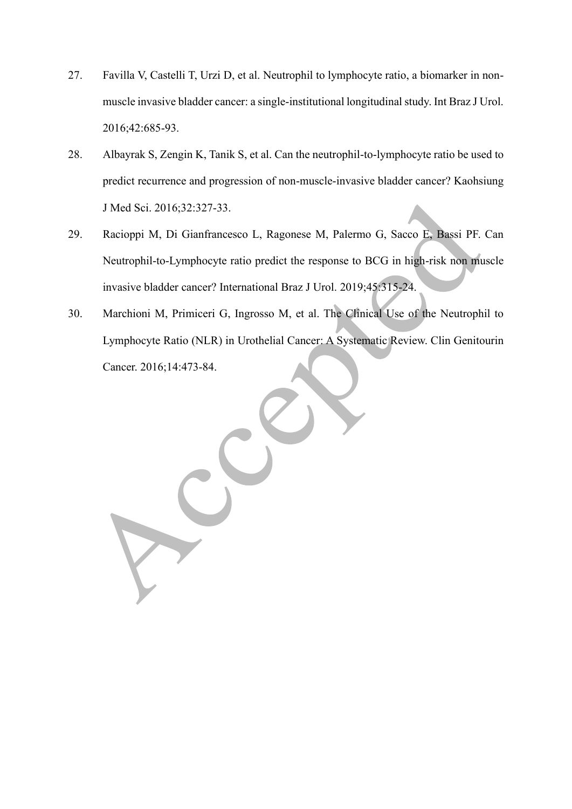- 27. Favilla V, Castelli T, Urzi D, et al. Neutrophil to lymphocyte ratio, a biomarker in nonmuscle invasive bladder cancer: a single-institutional longitudinal study. Int Braz J Urol. 2016;42:685-93.
- 28. Albayrak S, Zengin K, Tanik S, et al. Can the neutrophil-to-lymphocyte ratio be used to predict recurrence and progression of non-muscle-invasive bladder cancer? Kaohsiung J Med Sci. 2016;32:327-33.
- 29. Racioppi M, Di Gianfrancesco L, Ragonese M, Palermo G, Sacco E, Bassi PF. Can Neutrophil-to-Lymphocyte ratio predict the response to BCG in high-risk non muscle invasive bladder cancer? International Braz J Urol. 2019;45:315-24.
- 30. Marchioni M, Primiceri G, Ingrosso M, et al. The Clinical Use of the Neutrophil to Lymphocyte Ratio (NLR) in Urothelial Cancer: A Systematic Review. Clin Genitourin Cancer. 2016;14:473-84.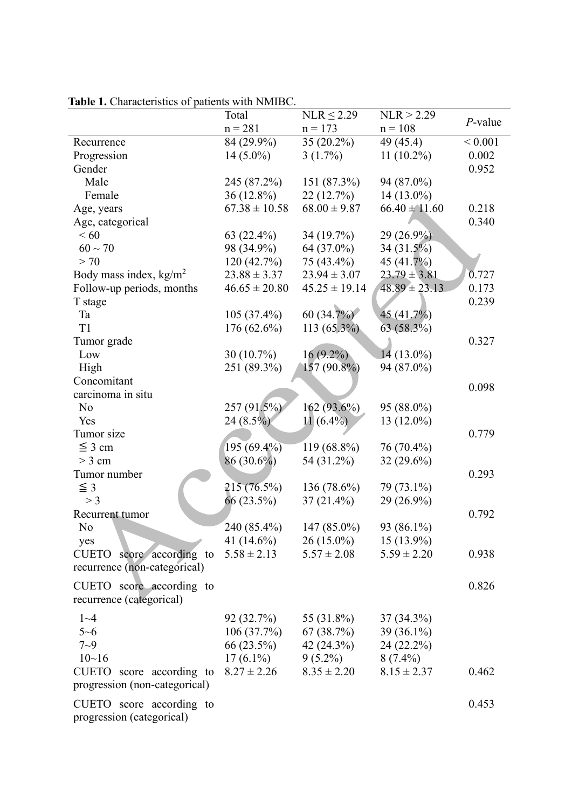|                                  | Total             | $NLR \leq 2.29$   | NLR > 2.29        |             |
|----------------------------------|-------------------|-------------------|-------------------|-------------|
|                                  | $n = 281$         | $n = 173$         | $n = 108$         | $P$ -value  |
| Recurrence                       | 84 (29.9%)        | 35 (20.2%)        | 49 (45.4)         | ${}< 0.001$ |
| Progression                      | $14(5.0\%)$       | $3(1.7\%)$        | $11(10.2\%)$      | 0.002       |
| Gender                           |                   |                   |                   | 0.952       |
| Male                             | 245 (87.2%)       | 151 (87.3%)       | 94 (87.0%)        |             |
| Female                           | $36(12.8\%)$      | 22(12.7%)         | $14(13.0\%)$      |             |
| Age, years                       | $67.38 \pm 10.58$ | $68.00 \pm 9.87$  | $66.40 \pm 11.60$ | 0.218       |
| Age, categorical                 |                   |                   |                   | 0.340       |
| <60                              | 63 $(22.4\%)$     | 34 (19.7%)        | 29 (26.9%)        |             |
| $60 \sim 70$                     | 98 (34.9%)        | 64 (37.0%)        | 34 (31.5%)        |             |
| > 70                             | 120(42.7%)        | 75 (43.4%)        | 45 (41.7%)        |             |
| Body mass index, $\text{kg/m}^2$ | $23.88 \pm 3.37$  | $23.94 \pm 3.07$  | $23.79 \pm 3.81$  | 0.727       |
| Follow-up periods, months        | $46.65 \pm 20.80$ | $45.25 \pm 19.14$ | $48.89 \pm 23.13$ | 0.173       |
| T stage                          |                   |                   |                   | 0.239       |
| Ta                               | $105(37.4\%)$     | 60 (34.7%)        | 45 (41.7%)        |             |
| T1                               | $176(62.6\%)$     | $113(65.3\%)$     | $63(58.3\%)$      |             |
| Tumor grade                      |                   |                   |                   | 0.327       |
| Low                              | $30(10.7\%)$      | $16(9.2\%)$       | $14(13.0\%)$      |             |
| High                             | 251 (89.3%)       | $157(90.8\%)$     | 94 (87.0%)        |             |
| Concomitant                      |                   |                   |                   |             |
| carcinoma in situ                |                   |                   |                   | 0.098       |
| N <sub>o</sub>                   | 257 (91.5%)       | 162 (93.6%)       | 95 (88.0%)        |             |
| Yes                              | $24(8.5\%)$       | $11(6.4\%)$       | 13 (12.0%)        |             |
| Tumor size                       |                   |                   |                   | 0.779       |
| $\leq$ 3 cm                      | 195 (69.4%)       | 119 (68.8%)       | 76 (70.4%)        |             |
| $>$ 3 cm                         | $86(30.6\%)$      | 54 (31.2%)        | $32(29.6\%)$      |             |
| Tumor number                     |                   |                   |                   | 0.293       |
| $\leq$ 3                         | 215 (76.5%)       | 136 $(78.6\%)$    | 79 (73.1%)        |             |
| $>$ 3                            | 66 (23.5%)        | $37(21.4\%)$      | 29 (26.9%)        |             |
| Recurrent tumor                  |                   |                   |                   | 0.792       |
| No                               | 240 (85.4%)       | 147 (85.0%)       | 93 (86.1%)        |             |
| yes                              | 41 $(14.6\%)$     | $26(15.0\%)$      | $15(13.9\%)$      |             |
| CUETO score according to         | $5.58 \pm 2.13$   | $5.57 \pm 2.08$   | $5.59 \pm 2.20$   | 0.938       |
| recurrence (non-categorical)     |                   |                   |                   |             |
|                                  |                   |                   |                   |             |
| CUETO score according to         |                   |                   |                   | 0.826       |
| recurrence (categorical)         |                   |                   |                   |             |
| $1 - 4$                          | 92(32.7%)         | 55 (31.8%)        | 37 (34.3%)        |             |
| $5 - 6$                          | 106(37.7%)        | 67(38.7%)         | $39(36.1\%)$      |             |
| $7 - 9$                          | 66 (23.5%)        | 42 $(24.3\%)$     | 24 (22.2%)        |             |
| $10 - 16$                        | $17(6.1\%)$       | $9(5.2\%)$        | $8(7.4\%)$        |             |
| CUETO score according to         | $8.27 \pm 2.26$   | $8.35 \pm 2.20$   | $8.15 \pm 2.37$   | 0.462       |
| progression (non-categorical)    |                   |                   |                   |             |
|                                  |                   |                   |                   |             |
| CUETO score according to         |                   |                   |                   | 0.453       |
| progression (categorical)        |                   |                   |                   |             |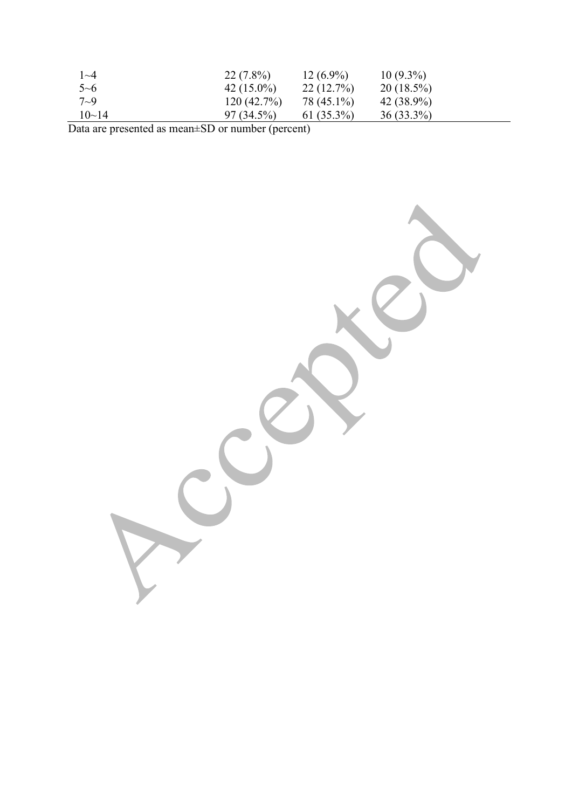| $\sim$ 4  | $22(7.8\%)$   | $12(6.9\%)$   | $10(9.3\%)$  |  |
|-----------|---------------|---------------|--------------|--|
| $5 - 6$   | 42 $(15.0\%)$ | 22(12.7%)     | $20(18.5\%)$ |  |
| $7\sim9$  | 120(42.7%)    | 78 (45.1%)    | $42(38.9\%)$ |  |
| $10 - 14$ | $97(34.5\%)$  | 61 $(35.3\%)$ | $36(33.3\%)$ |  |

Data are presented as mean±SD or number (percent)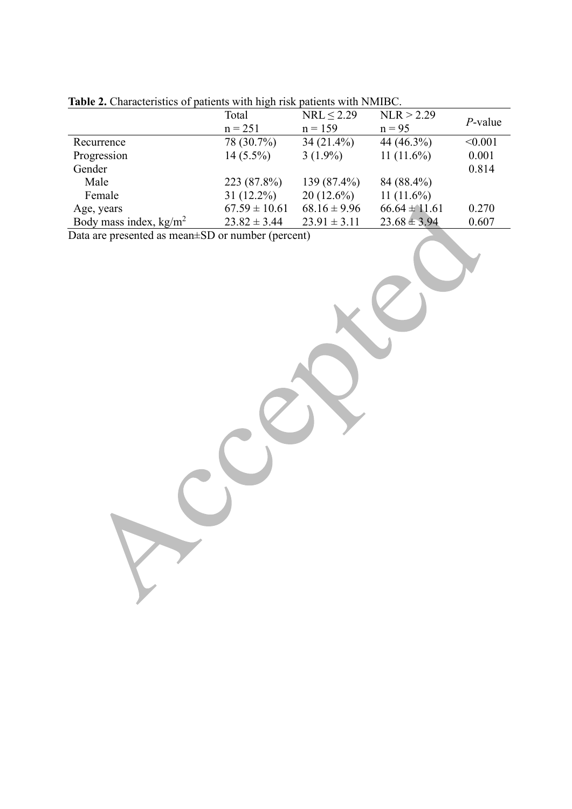|                          | — <del>, , ,</del><br>Total | NRL < 2.29       | NLR > 2.29        |            |
|--------------------------|-----------------------------|------------------|-------------------|------------|
|                          | $n = 251$                   | $n = 159$        | $n = 95$          | $P$ -value |
| Recurrence               | 78 (30.7%)                  | $34(21.4\%)$     | 44 (46.3%)        | < 0.001    |
| Progression              | $14(5.5\%)$                 | $3(1.9\%)$       | 11 $(11.6\%)$     | 0.001      |
| Gender                   |                             |                  |                   | 0.814      |
| Male                     | 223 (87.8%)                 | 139 (87.4%)      | 84 (88.4%)        |            |
| Female                   | $31(12.2\%)$                | $20(12.6\%)$     | 11 $(11.6\%)$     |            |
| Age, years               | $67.59 \pm 10.61$           | $68.16 \pm 9.96$ | $66.64 \pm 11.61$ | 0.270      |
| Body mass index, $kg/m2$ | $23.82 \pm 3.44$            | $23.91 \pm 3.11$ | $23.68 \pm 3.94$  | 0.607      |

| Table 2. Characteristics of patients with high risk patients with NMIBC. |  |  |
|--------------------------------------------------------------------------|--|--|
|                                                                          |  |  |

Data are presented as mean±SD or number (percent)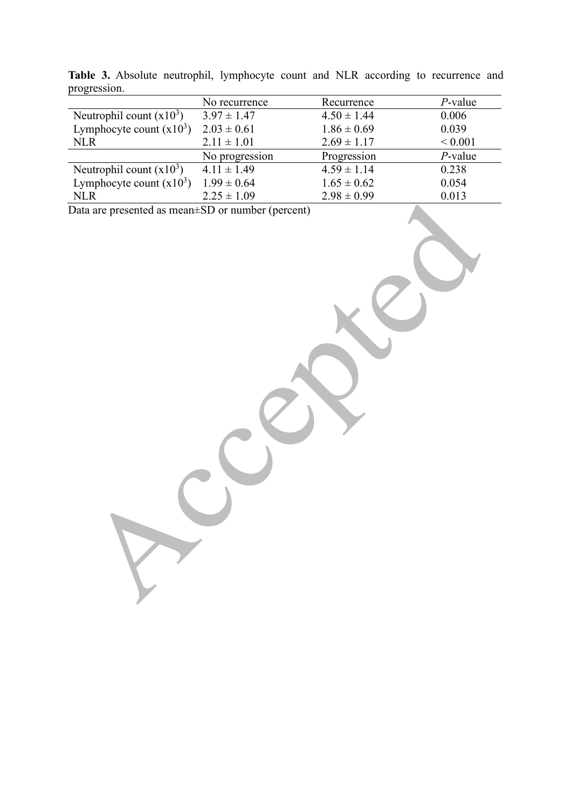|                            | No recurrence   | Recurrence      | $P$ -value   |
|----------------------------|-----------------|-----------------|--------------|
| Neutrophil count $(x10^3)$ | $3.97 \pm 1.47$ | $4.50 \pm 1.44$ | 0.006        |
| Lymphocyte count $(x10^3)$ | $2.03 \pm 0.61$ | $1.86 \pm 0.69$ | 0.039        |
| <b>NLR</b>                 | $2.11 \pm 1.01$ | $2.69 \pm 1.17$ | ${}_{0.001}$ |
|                            | No progression  | Progression     | $P$ -value   |
| Neutrophil count $(x10^3)$ | $4.11 \pm 1.49$ | $4.59 \pm 1.14$ | 0.238        |
| Lymphocyte count $(x10^3)$ | $1.99 \pm 0.64$ | $1.65 \pm 0.62$ | 0.054        |
| <b>NLR</b>                 | $2.25 \pm 1.09$ | $2.98 \pm 0.99$ | 0.013        |

**Table 3.** Absolute neutrophil, lymphocyte count and NLR according to recurrence and progression.

Data are presented as mean±SD or number (percent)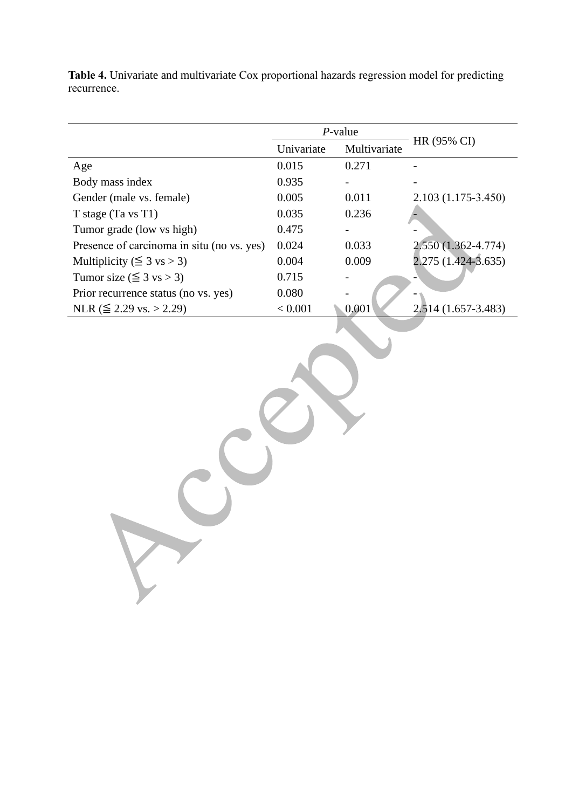|                                            |            | $P$ -value     |                        |  |
|--------------------------------------------|------------|----------------|------------------------|--|
|                                            | Univariate | Multivariate   | HR (95% CI)            |  |
| Age                                        | 0.015      | 0.271          |                        |  |
| Body mass index                            | 0.935      | $\blacksquare$ |                        |  |
| Gender (male vs. female)                   | 0.005      | 0.011          | $2.103(1.175-3.450)$   |  |
| T stage (Ta vs T1)                         | 0.035      | 0.236          |                        |  |
| Tumor grade (low vs high)                  | 0.475      |                |                        |  |
| Presence of carcinoma in situ (no vs. yes) | 0.024      | 0.033          | $2.550(1.362 - 4.774)$ |  |
| Multiplicity ( $\leq$ 3 vs > 3)            | 0.004      | 0.009          | 2.275 (1.424-3.635)    |  |
| Tumor size ( $\leq$ 3 vs > 3)              | 0.715      | $\blacksquare$ |                        |  |
| Prior recurrence status (no vs. yes)       | 0.080      | $\blacksquare$ |                        |  |
| NLR ( $\leq$ 2.29 vs. > 2.29)              | < 0.001    | 0.001          | 2.514 (1.657-3.483)    |  |

**Table 4.** Univariate and multivariate Cox proportional hazards regression model for predicting recurrence.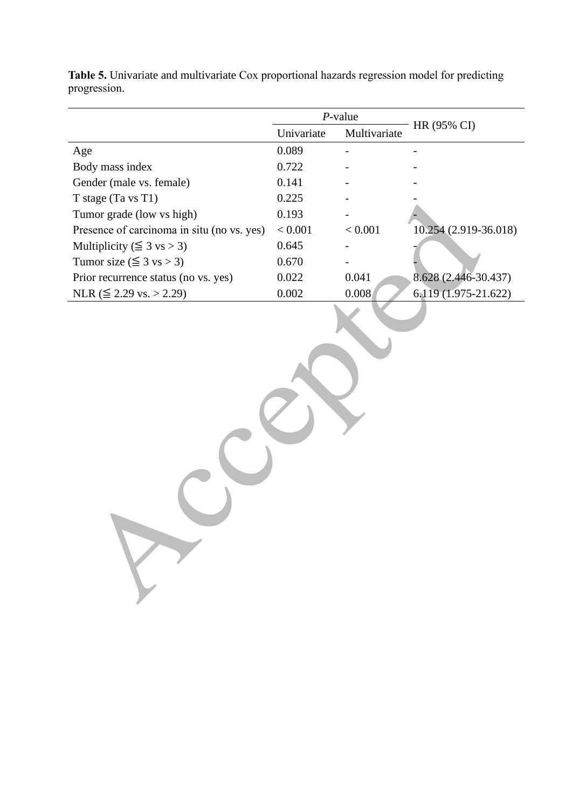|                                            | $P$ -value |              | HR (95% CI)           |  |
|--------------------------------------------|------------|--------------|-----------------------|--|
|                                            | Univariate | Multivariate |                       |  |
| Age                                        | 0.089      |              |                       |  |
| Body mass index                            | 0.722      |              |                       |  |
| Gender (male vs. female)                   | 0.141      |              |                       |  |
| T stage (Ta vs T1)                         | 0.225      |              |                       |  |
| Tumor grade (low vs high)                  | 0.193      |              |                       |  |
| Presence of carcinoma in situ (no vs. yes) | < 0.001    | < 0.001      | 10.254 (2.919-36.018) |  |
| Multiplicity ( $\leq$ 3 vs > 3)            | 0.645      |              |                       |  |
| Tumor size ( $\leq$ 3 vs > 3)              | 0.670      |              |                       |  |
| Prior recurrence status (no vs. yes)       | 0.022      | 0.041        | 8.628 (2.446-30.437)  |  |
| NLR ( $\leq$ 2.29 vs. > 2.29)              | 0.002      | 0.008        | 6.119 (1.975-21.622)  |  |

**Table 5.** Univariate and multivariate Cox proportional hazards regression model for predicting progression.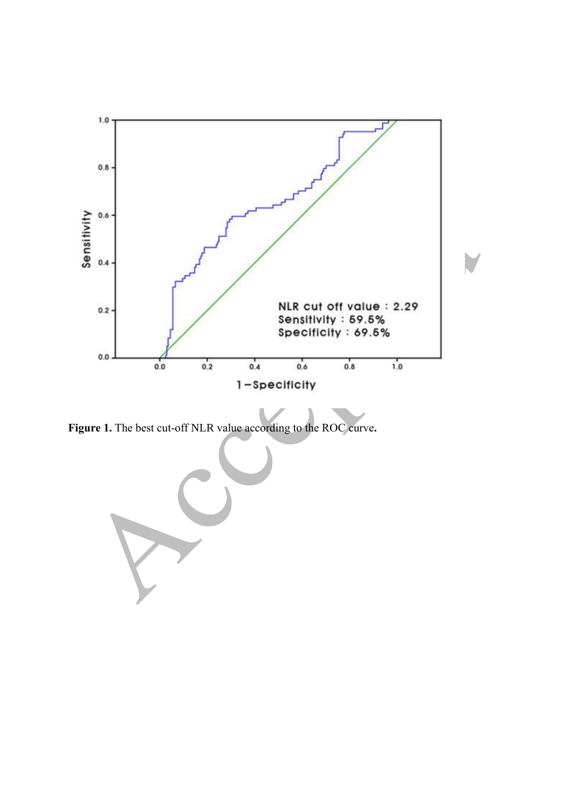

**Figure 1.** The best cut-off NLR value according to the ROC curve**.**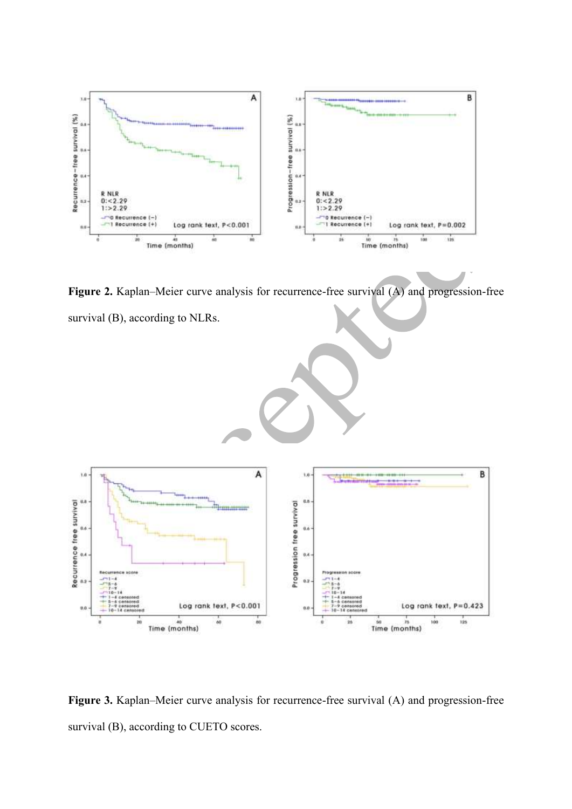

Figure 2. Kaplan–Meier curve analysis for recurrence-free survival (A) and progression-free survival (B), according to NLRs.



Figure 3. Kaplan–Meier curve analysis for recurrence-free survival (A) and progression-free survival (B), according to CUETO scores.